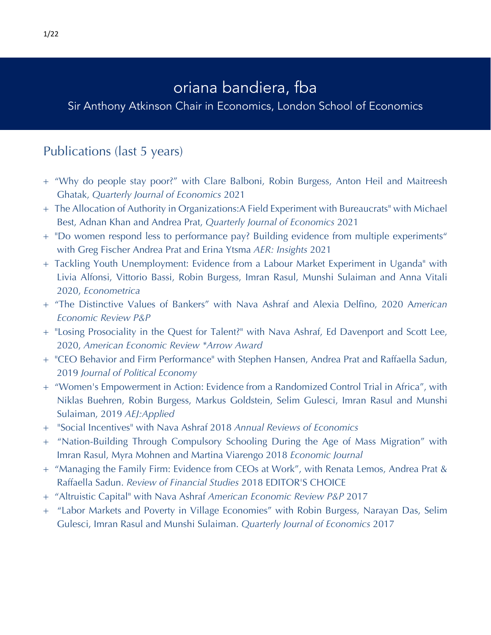## oriana bandiera, fba

Sir Anthony Atkinson Chair in Economics, London School of Economics

## Publications (last 5 years)

- + "Why do people stay poor?" with Clare Balboni, Robin Burgess, Anton Heil and Maitreesh Ghatak, *Quarterly Journal of Economics* 2021
- + The Allocation of Authority in Organizations:A Field Experiment with Bureaucrats" with Michael Best, Adnan Khan and Andrea Prat, *Quarterly Journal of Economics* 2021
- + "Do women respond less to performance pay? Building evidence from multiple experiments" with Greg Fischer Andrea Prat and Erina Ytsma *AER: Insights* 2021
- + Tackling Youth Unemployment: Evidence from a Labour Market Experiment in Uganda" with Livia Alfonsi, Vittorio Bassi, Robin Burgess, Imran Rasul, Munshi Sulaiman and Anna Vitali 2020, *Econometrica*
- + "The Distinctive Values of Bankers" with Nava Ashraf and Alexia Delfino, 2020 A*merican Economic Review P&P*
- + "Losing Prosociality in the Quest for Talent?" with Nava Ashraf, Ed Davenport and Scott Lee, 2020, *American Economic Review \*Arrow Award*
- + "CEO Behavior and Firm Performance" with Stephen Hansen, Andrea Prat and Raffaella Sadun, 2019 *Journal of Political Economy*
- + "Women's Empowerment in Action: Evidence from a Randomized Control Trial in Africa", with Niklas Buehren, Robin Burgess, Markus Goldstein, Selim Gulesci, Imran Rasul and Munshi Sulaiman, 2019 *AEJ:Applied*
- + "Social Incentives" with Nava Ashraf 2018 *Annual Reviews of Economics*
- + "Nation-Building Through Compulsory Schooling During the Age of Mass Migration" with Imran Rasul, Myra Mohnen and Martina Viarengo 2018 *Economic Journal*
- + "Managing the Family Firm: Evidence from CEOs at Work", with Renata Lemos, Andrea Prat & Raffaella Sadun. *Review of Financial Studies* 2018 EDITOR'S CHOICE
- + "Altruistic Capital" with Nava Ashraf *American Economic Review P&P* 2017
- + "Labor Markets and Poverty in Village Economies" with Robin Burgess, Narayan Das, Selim Gulesci, Imran Rasul and Munshi Sulaiman. *Quarterly Journal of Economics* 2017